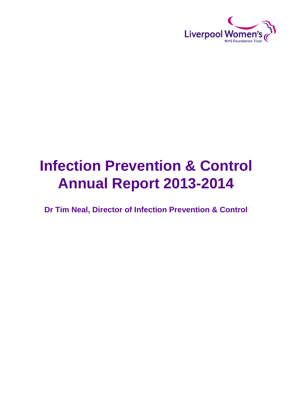

# **Infection Prevention & Control Annual Report 2013-2014**

**Dr Tim Neal, Director of Infection Prevention & Control**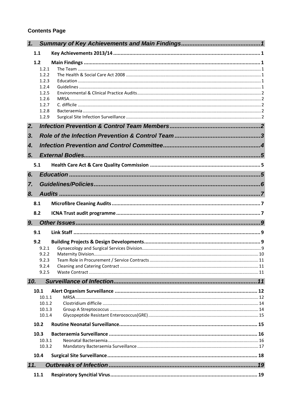# **Contents Page**

| 1.               |                  |  |
|------------------|------------------|--|
| 1.1              |                  |  |
| 1.2              |                  |  |
|                  | 1.2.1            |  |
|                  | 1.2.2<br>1.2.3   |  |
|                  | 1.2.4            |  |
|                  | 1.2.5            |  |
|                  | 1.2.6<br>1.2.7   |  |
|                  | 1.2.8            |  |
|                  | 1.2.9            |  |
| 2.               |                  |  |
| 3.               |                  |  |
| $\overline{4}$ . |                  |  |
| 5.               |                  |  |
| 5.1              |                  |  |
| 6.               |                  |  |
| 7.               |                  |  |
| 8.               |                  |  |
| 8.1              |                  |  |
| 8.2              |                  |  |
| 9.               |                  |  |
| 9.1              |                  |  |
| 9.2              |                  |  |
|                  | 9.2.1            |  |
|                  | 9.2.2<br>9.2.3   |  |
|                  | 9.2.4            |  |
|                  | 9.2.5            |  |
| 10.              |                  |  |
|                  | 10.1             |  |
|                  | 10.1.1           |  |
|                  | 10.1.2<br>10.1.3 |  |
|                  | 10.1.4           |  |
|                  | 10.2             |  |
|                  | 10.3             |  |
|                  | 10.3.1           |  |
|                  | 10.3.2           |  |
|                  | 10.4             |  |
| 11.              |                  |  |
|                  | 11.1             |  |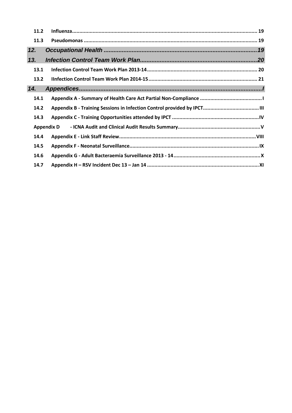| 11.2 |                   |
|------|-------------------|
| 11.3 |                   |
| 12.  |                   |
| 13.  |                   |
| 13.1 |                   |
| 13.2 |                   |
| 14.  |                   |
| 14.1 |                   |
| 14.2 |                   |
| 14.3 |                   |
|      | <b>Appendix D</b> |
| 14.4 |                   |
| 14.5 |                   |
| 14.6 |                   |
| 14.7 |                   |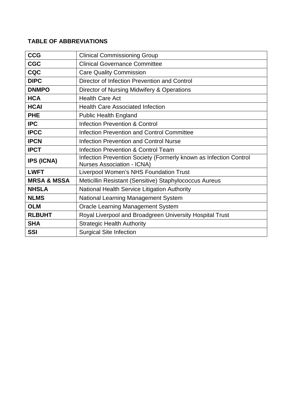# **TABLE OF ABBREVIATIONS**

| <b>CCG</b>             | <b>Clinical Commissioning Group</b>                                                                    |
|------------------------|--------------------------------------------------------------------------------------------------------|
| <b>CGC</b>             | <b>Clinical Governance Committee</b>                                                                   |
| <b>CQC</b>             | <b>Care Quality Commission</b>                                                                         |
| <b>DIPC</b>            | Director of Infection Prevention and Control                                                           |
| <b>DNMPO</b>           | Director of Nursing Midwifery & Operations                                                             |
| <b>HCA</b>             | <b>Health Care Act</b>                                                                                 |
| <b>HCAI</b>            | <b>Health Care Associated Infection</b>                                                                |
| <b>PHE</b>             | <b>Public Health England</b>                                                                           |
| <b>IPC</b>             | <b>Infection Prevention &amp; Control</b>                                                              |
| <b>IPCC</b>            | <b>Infection Prevention and Control Committee</b>                                                      |
| <b>IPCN</b>            | <b>Infection Prevention and Control Nurse</b>                                                          |
| <b>IPCT</b>            | Infection Prevention & Control Team                                                                    |
| <b>IPS (ICNA)</b>      | Infection Prevention Society (Formerly known as Infection Control<br><b>Nurses Association - ICNA)</b> |
| <b>LWFT</b>            | Liverpool Women's NHS Foundation Trust                                                                 |
| <b>MRSA &amp; MSSA</b> | Meticillin Resistant (Sensitive) Staphylococcus Aureus                                                 |
| <b>NHSLA</b>           | National Health Service Litigation Authority                                                           |
| <b>NLMS</b>            | National Learning Management System                                                                    |
| <b>OLM</b>             | <b>Oracle Learning Management System</b>                                                               |
| <b>RLBUHT</b>          | Royal Liverpool and Broadgreen University Hospital Trust                                               |
| <b>SHA</b>             | <b>Strategic Health Authority</b>                                                                      |
| <b>SSI</b>             | <b>Surgical Site Infection</b>                                                                         |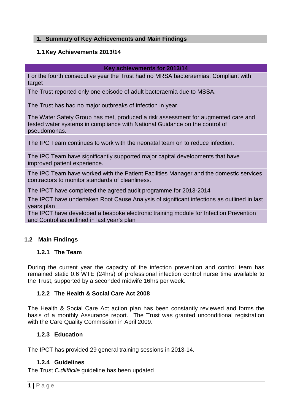# <span id="page-4-1"></span><span id="page-4-0"></span>**1. Summary of Key Achievements and Main Findings**

# **1.1Key Achievements 2013/14**

# **Key achievements for 2013/14**

For the fourth consecutive year the Trust had no MRSA bacteraemias. Compliant with target

The Trust reported only one episode of adult bacteraemia due to MSSA.

The Trust has had no major outbreaks of infection in year.

The Water Safety Group has met, produced a risk assessment for augmented care and tested water systems in compliance with National Guidance on the control of pseudomonas.

The IPC Team continues to work with the neonatal team on to reduce infection.

The IPC Team have significantly supported major capital developments that have improved patient experience.

The IPC Team have worked with the Patient Facilities Manager and the domestic services contractors to monitor standards of cleanliness.

The IPCT have completed the agreed audit programme for 2013-2014

The IPCT have undertaken Root Cause Analysis of significant infections as outlined in last years plan

The IPCT have developed a bespoke electronic training module for Infection Prevention and Control as outlined in last year's plan

# <span id="page-4-2"></span>**1.2 Main Findings**

# <span id="page-4-3"></span>**1.2.1 The Team**

During the current year the capacity of the infection prevention and control team has remained static 0.6 WTE (24hrs) of professional infection control nurse time available to the Trust, supported by a seconded midwife 16hrs per week.

# <span id="page-4-4"></span>**1.2.2 The Health & Social Care Act 2008**

The Health & Social Care Act action plan has been constantly reviewed and forms the basis of a monthly Assurance report. The Trust was granted unconditional registration with the Care Quality Commission in April 2009.

# <span id="page-4-5"></span>**1.2.3 Education**

The IPCT has provided 29 general training sessions in 2013-14.

# <span id="page-4-6"></span>**1.2.4 Guidelines**

The Trust C.*diifficile* guideline has been updated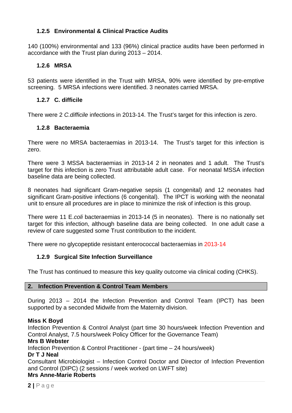# <span id="page-5-0"></span>**1.2.5 Environmental & Clinical Practice Audits**

140 (100%) environmental and 133 (96%) clinical practice audits have been performed in accordance with the Trust plan during 2013 – 2014.

# <span id="page-5-1"></span>**1.2.6 MRSA**

53 patients were identified in the Trust with MRSA, 90% were identified by pre-emptive screening. 5 MRSA infections were identified. 3 neonates carried MRSA.

# <span id="page-5-2"></span>**1.2.7 C. difficile**

There were 2 *C.difficile* infections in 2013-14. The Trust's target for this infection is zero.

#### <span id="page-5-3"></span>**1.2.8 Bacteraemia**

There were no MRSA bacteraemias in 2013-14. The Trust's target for this infection is zero.

There were 3 MSSA bacteraemias in 2013-14 2 in neonates and 1 adult. The Trust's target for this infection is zero Trust attributable adult case. For neonatal MSSA infection baseline data are being collected.

8 neonates had significant Gram-negative sepsis (1 congenital) and 12 neonates had significant Gram-positive infections (6 congenital). The IPCT is working with the neonatal unit to ensure all procedures are in place to minimize the risk of infection is this group.

There were 11 E.*coli* bacteraemias in 2013-14 (5 in neonates). There is no nationally set target for this infection, although baseline data are being collected. In one adult case a review of care suggested some Trust contribution to the incident.

There were no glycopeptide resistant enterococcal bacteraemias in 2013-14

# <span id="page-5-4"></span>**1.2.9 Surgical Site Infection Surveillance**

<span id="page-5-5"></span>The Trust has continued to measure this key quality outcome via clinical coding (CHKS).

#### **2. Infection Prevention & Control Team Members**

During 2013 – 2014 the Infection Prevention and Control Team (IPCT) has been supported by a seconded Midwife from the Maternity division.

#### **Miss K Boyd**

Infection Prevention & Control Analyst (part time 30 hours/week Infection Prevention and Control Analyst, 7.5 hours/week Policy Officer for the Governance Team)

#### **Mrs B Webster**

Infection Prevention & Control Practitioner - (part time – 24 hours/week)

# **Dr T J Neal**

Consultant Microbiologist – Infection Control Doctor and Director of Infection Prevention and Control (DIPC) (2 sessions / week worked on LWFT site)

# **Mrs Anne-Marie Roberts**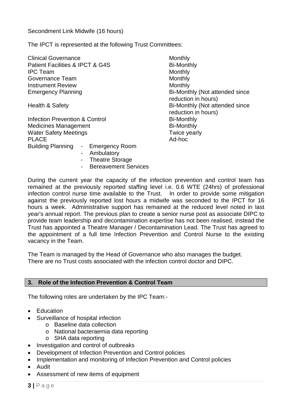The IPCT is represented at the following Trust Committees:

| <b>Clinical Governance</b>                                                                                                                  | Monthly                                               |
|---------------------------------------------------------------------------------------------------------------------------------------------|-------------------------------------------------------|
| Patient Facilities & IPCT & G4S                                                                                                             | <b>Bi-Monthly</b>                                     |
| <b>IPC</b> Team                                                                                                                             | Monthly                                               |
| Governance Team                                                                                                                             | Monthly                                               |
| <b>Instrument Review</b>                                                                                                                    | Monthly                                               |
| <b>Emergency Planning</b>                                                                                                                   | Bi-Monthly (Not attended since<br>reduction in hours) |
| Health & Safety                                                                                                                             | Bi-Monthly (Not attended since<br>reduction in hours) |
| Infection Prevention & Control                                                                                                              | <b>Bi-Monthly</b>                                     |
| <b>Medicines Management</b>                                                                                                                 | <b>Bi-Monthly</b>                                     |
| <b>Water Safety Meetings</b>                                                                                                                | Twice yearly                                          |
| <b>PLACE</b>                                                                                                                                | Ad-hoc                                                |
| <b>Building Planning</b><br><b>Emergency Room</b><br>$\sim$ 10 $\pm$<br>Ambulatory<br><b>Theatre Storage</b><br><b>Bereavement Services</b> |                                                       |

During the current year the capacity of the infection prevention and control team has remained at the previously reported staffing level i.e. 0.6 WTE (24hrs) of professional infection control nurse time available to the Trust. In order to provide some mitigation against the previously reported lost hours a midwife was seconded to the IPCT for 16 hours a week. Administrative support has remained at the reduced level noted in last year's annual report. The previous plan to create a senior nurse post as associate DIPC to provide team leadership and decontamination expertise has not been realised, instead the Trust has appointed a Theatre Manager / Decontamination Lead. The Trust has agreed to the appointment of a full time Infection Prevention and Control Nurse to the existing vacancy in the Team.

The Team is managed by the Head of Governance who also manages the budget. There are no Trust costs associated with the infection control doctor and DIPC.

#### <span id="page-6-0"></span>**3. Role of the Infection Prevention & Control Team**

The following roles are undertaken by the IPC Team:-

- Education
- Surveillance of hospital infection
	- o Baseline data collection
		- o National bacteraemia data reporting
		- o SHA data reporting
- Investigation and control of outbreaks
- Development of Infection Prevention and Control policies
- Implementation and monitoring of Infection Prevention and Control policies
- Audit
- Assessment of new items of equipment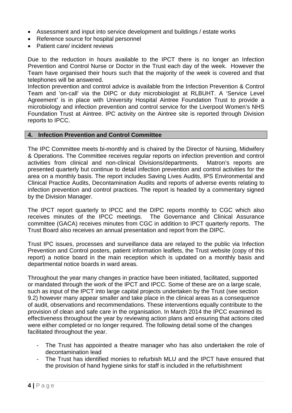- Assessment and input into service development and buildings / estate works
- Reference source for hospital personnel
- Patient care/ incident reviews

Due to the reduction in hours available to the IPCT there is no longer an Infection Prevention and Control Nurse or Doctor in the Trust each day of the week. However the Team have organised their hours such that the majority of the week is covered and that telephones will be answered.

Infection prevention and control advice is available from the Infection Prevention & Control Team and 'on-call' via the DIPC or duty microbiologist at RLBUHT. A 'Service Level Agreement' is in place with University Hospital Aintree Foundation Trust to provide a microbiology and infection prevention and control service for the Liverpool Women's NHS Foundation Trust at Aintree. IPC activity on the Aintree site is reported through Division reports to IPCC.

#### <span id="page-7-0"></span>**4. Infection Prevention and Control Committee**

The IPC Committee meets bi-monthly and is chaired by the Director of Nursing, Midwifery & Operations. The Committee receives regular reports on infection prevention and control activities from clinical and non-clinical Divisions/departments. Matron's reports are presented quarterly but continue to detail infection prevention and control activities for the area on a monthly basis. The report includes Saving Lives Audits, IPS Environmental and Clinical Practice Audits, Decontamination Audits and reports of adverse events relating to infection prevention and control practices. The report is headed by a commentary signed by the Division Manager.

The IPCT report quarterly to IPCC and the DIPC reports monthly to CGC which also receives minutes of the IPCC meetings. The Governance and Clinical Assurance committee (GACA) receives minutes from CGC in addition to IPCT quarterly reports. The Trust Board also receives an annual presentation and report from the DIPC.

Trust IPC issues, processes and surveillance data are relayed to the public via Infection Prevention and Control posters, patient information leaflets, the Trust website (copy of this report) a notice board in the main reception which is updated on a monthly basis and departmental notice boards in ward areas.

Throughout the year many changes in practice have been initiated, facilitated, supported or mandated through the work of the IPCT and IPCC. Some of these are on a large scale, such as input of the IPCT into large capital projects undertaken by the Trust (see section 9.2) however many appear smaller and take place in the clinical areas as a consequence of audit, observations and recommendations. These interventions equally contribute to the provision of clean and safe care in the organisation. In March 2014 the IPCC examined its effectiveness throughout the year by reviewing action plans and ensuring that actions cited were either completed or no longer required. The following detail some of the changes facilitated throughout the year.

- The Trust has appointed a theatre manager who has also undertaken the role of decontamination lead
- The Trust has identified monies to refurbish MLU and the IPCT have ensured that the provision of hand hygiene sinks for staff is included in the refurbishment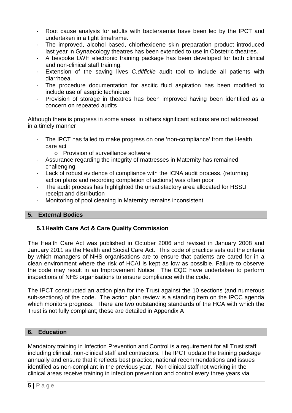- Root cause analysis for adults with bacteraemia have been led by the IPCT and undertaken in a tight timeframe.
- The improved, alcohol based, chlorhexidene skin preparation product introduced last year in Gynaecology theatres has been extended to use in Obstetric theatres.
- A bespoke LWH electronic training package has been developed for both clinical and non-clinical staff training.
- Extension of the saving lives *C.difficile* audit tool to include all patients with diarrhoea.
- The procedure documentation for ascitic fluid aspiration has been modified to include use of aseptic technique
- Provision of storage in theatres has been improved having been identified as a concern on repeated audits

Although there is progress in some areas, in others significant actions are not addressed in a timely manner

- The IPCT has failed to make progress on one 'non-compliance' from the Health care act
	- o Provision of surveillance software
- Assurance regarding the integrity of mattresses in Maternity has remained challenging.
- Lack of robust evidence of compliance with the ICNA audit process, (returning action plans and recording completion of actions) was often poor
- The audit process has highlighted the unsatisfactory area allocated for HSSU receipt and distribution
- <span id="page-8-0"></span>- Monitoring of pool cleaning in Maternity remains inconsistent

# **5. External Bodies**

# <span id="page-8-1"></span>**5.1Health Care Act & Care Quality Commission**

The Health Care Act was published in October 2006 and revised in January 2008 and January 2011 as the Health and Social Care Act. This code of practice sets out the criteria by which managers of NHS organisations are to ensure that patients are cared for in a clean environment where the risk of HCAI is kept as low as possible. Failure to observe the code may result in an Improvement Notice. The CQC have undertaken to perform inspections of NHS organisations to ensure compliance with the code.

The IPCT constructed an action plan for the Trust against the 10 sections (and numerous sub-sections) of the code. The action plan review is a standing item on the IPCC agenda which monitors progress. There are two outstanding standards of the HCA with which the Trust is not fully compliant; these are detailed in Appendix A

# <span id="page-8-2"></span>**6. Education**

Mandatory training in Infection Prevention and Control is a requirement for all Trust staff including clinical, non-clinical staff and contractors. The IPCT update the training package annually and ensure that it reflects best practice, national recommendations and issues identified as non-compliant in the previous year. Non clinical staff not working in the clinical areas receive training in infection prevention and control every three years via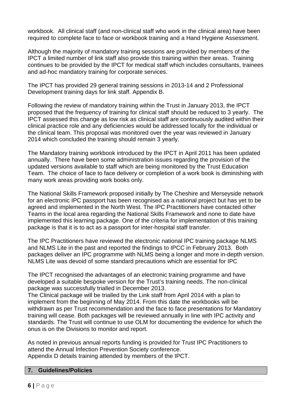workbook. All clinical staff (and non-clinical staff who work in the clinical area) have been required to complete face to face or workbook training and a Hand Hygiene Assessment.

Although the majority of mandatory training sessions are provided by members of the IPCT a limited number of link staff also provide this training within their areas. Training continues to be provided by the IPCT for medical staff which includes consultants, trainees and ad-hoc mandatory training for corporate services.

The IPCT has provided 29 general training sessions in 2013-14 and 2 Professional Development training days for link staff. Appendix B.

Following the review of mandatory training within the Trust in January 2013, the IPCT proposed that the frequency of training for clinical staff should be reduced to 3 yearly. The IPCT assessed this change as low risk as clinical staff are continuously audited within their clinical practice role and any deficiencies would be addressed locally for the individual or the clinical team. This proposal was monitored over the year was reviewed in January 2014 which concluded the training should remain 3 yearly.

The Mandatory training workbook introduced by the IPCT in April 2011 has been updated annually. There have been some administration issues regarding the provision of the updated versions available to staff which are being monitored by the Trust Education Team. The choice of face to face delivery or completion of a work book is diminishing with many work areas providing work books only.

The National Skills Framework proposed initially by The Cheshire and Merseyside network for an electronic IPC passport has been recognised as a national project but has yet to be agreed and implemented in the North West. The IPC Practitioners have contacted other Teams in the local area regarding the National Skills Framework and none to date have implemented this learning package. One of the criteria for implementation of this training package is that it is to act as a passport for inter-hospital staff transfer.

The IPC Practitioners have reviewed the electronic national IPC training package NLMS and NLMS Lite in the past and reported the findings to IPCC in February 2013. Both packages deliver an IPC programme with NLMS being a longer and more in-depth version. NLMS Lite was devoid of some standard precautions which are essential for IPC

The IPCT recognised the advantages of an electronic training programme and have developed a suitable bespoke version for the Trust's training needs. The non-clinical package was successfully trialled in December 2013.

The Clinical package will be trialled by the Link staff from April 2014 with a plan to implement from the beginning of May 2014. From this date the workbooks will be withdrawn as per Trust recommendation and the face to face presentations for Mandatory training will cease. Both packages will be reviewed annually in line with IPC activity and standards. The Trust will continue to use OLM for documenting the evidence for which the onus is on the Divisions to monitor and report.

As noted in previous annual reports funding is provided for Trust IPC Practitioners to attend the Annual Infection Prevention Society conference. Appendix D details training attended by members of the IPCT.

#### <span id="page-9-0"></span>**7. Guidelines/Policies**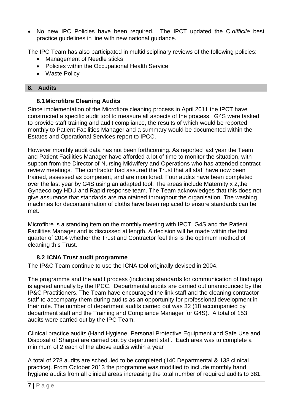No new IPC Policies have been required. The IPCT updated the C.*difficile* best practice guidelines in line with new national guidance.

The IPC Team has also participated in multidisciplinary reviews of the following policies:

- Management of Needle sticks
- Policies within the Occupational Health Service
- <span id="page-10-0"></span>• Waste Policy

# **8. Audits**

# <span id="page-10-1"></span>**8.1Microfibre Cleaning Audits**

Since implementation of the Microfibre cleaning process in April 2011 the IPCT have constructed a specific audit tool to measure all aspects of the process. G4S were tasked to provide staff training and audit compliance, the results of which would be reported monthly to Patient Facilities Manager and a summary would be documented within the Estates and Operational Services report to IPCC.

However monthly audit data has not been forthcoming. As reported last year the Team and Patient Facilities Manager have afforded a lot of time to monitor the situation, with support from the Director of Nursing Midwifery and Operations who has attended contract review meetings. The contractor had assured the Trust that all staff have now been trained, assessed as competent, and are monitored. Four audits have been completed over the last year by G4S using an adapted tool. The areas include Maternity x 2,the Gynaecology HDU and Rapid response team. The Team acknowledges that this does not give assurance that standards are maintained throughout the organisation. The washing machines for decontamination of cloths have been replaced to ensure standards can be met.

Microfibre is a standing item on the monthly meeting with IPCT, G4S and the Patient Facilities Manager and is discussed at length. A decision will be made within the first quarter of 2014 whether the Trust and Contractor feel this is the optimum method of cleaning this Trust.

# <span id="page-10-2"></span>**8.2 ICNA Trust audit programme**

The IP&C Team continue to use the ICNA tool originally devised in 2004.

The programme and the audit process (including standards for communication of findings) is agreed annually by the IPCC. Departmental audits are carried out unannounced by the IP&C Practitioners. The Team have encouraged the link staff and the cleaning contractor staff to accompany them during audits as an opportunity for professional development in their role. The number of department audits carried out was 32 (18 accompanied by department staff and the Training and Compliance Manager for G4S). A total of 153 audits were carried out by the IPC Team.

Clinical practice audits (Hand Hygiene, Personal Protective Equipment and Safe Use and Disposal of Sharps) are carried out by department staff. Each area was to complete a minimum of 2 each of the above audits within a year

A total of 278 audits are scheduled to be completed (140 Departmental & 138 clinical practice). From October 2013 the programme was modified to include monthly hand hygiene audits from all clinical areas increasing the total number of required audits to 381.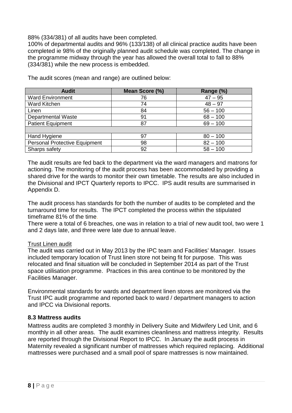88% (334/381) of all audits have been completed.

100% of departmental audits and 96% (133/138) of all clinical practice audits have been completed ie 98% of the originally planned audit schedule was completed. The change in the programme midway through the year has allowed the overall total to fall to 88% (334/381) while the new process is embedded.

| <b>Audit</b>                         | Mean Score (%) | Range (%)  |
|--------------------------------------|----------------|------------|
| <b>Ward Environment</b>              | 76             | $47 - 95$  |
| Ward Kitchen                         | 74             | $48 - 97$  |
| Linen                                | 84             | $56 - 100$ |
| <b>Departmental Waste</b>            | 91             | $68 - 100$ |
| <b>Patient Equipment</b>             | 87             | $69 - 100$ |
|                                      |                |            |
| Hand Hygiene                         | 97             | $80 - 100$ |
| <b>Personal Protective Equipment</b> | 98             | $82 - 100$ |
| Sharps safety                        | 92             | $58 - 100$ |

The audit scores (mean and range) are outlined below:

The audit results are fed back to the department via the ward managers and matrons for actioning. The monitoring of the audit process has been accommodated by providing a shared drive for the wards to monitor their own timetable. The results are also included in the Divisional and IPCT Quarterly reports to IPCC. IPS audit results are summarised in Appendix D.

The audit process has standards for both the number of audits to be completed and the turnaround time for results. The IPCT completed the process within the stipulated timeframe 81% of the time.

There were a total of 6 breaches, one was in relation to a trial of new audit tool, two were 1 and 2 days late, and three were late due to annual leave.

#### Trust Linen audit

The audit was carried out in May 2013 by the IPC team and Facilities' Manager. Issues included temporary location of Trust linen store not being fit for purpose. This was relocated and final situation will be concluded in September 2014 as part of the Trust space utilisation programme. Practices in this area continue to be monitored by the Facilities Manager.

Environmental standards for wards and department linen stores are monitored via the Trust IPC audit programme and reported back to ward / department managers to action and IPCC via Divisional reports.

# **8.3 Mattress audits**

Mattress audits are completed 3 monthly in Delivery Suite and Midwifery Led Unit, and 6 monthly in all other areas. The audit examines cleanliness and mattress integrity. Results are reported through the Divisional Report to IPCC. In January the audit process in Maternity revealed a significant number of mattresses which required replacing. Additional mattresses were purchased and a small pool of spare mattresses is now maintained.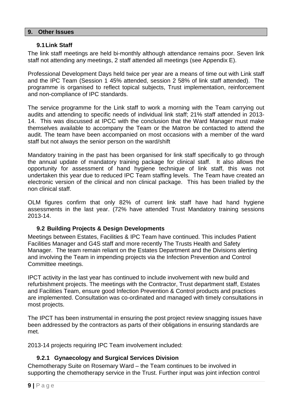#### <span id="page-12-0"></span>**9. Other Issues**

#### <span id="page-12-1"></span>**9.1Link Staff**

The link staff meetings are held bi-monthly although attendance remains poor. Seven link staff not attending any meetings, 2 staff attended all meetings (see Appendix E).

Professional Development Days held twice per year are a means of time out with Link staff and the IPC Team (Session 1 45% attended, session 2 58% of link staff attended). The programme is organised to reflect topical subjects, Trust implementation, reinforcement and non-compliance of IPC standards.

The service programme for the Link staff to work a morning with the Team carrying out audits and attending to specific needs of individual link staff; 21% staff attended in 2013- 14. This was discussed at IPCC with the conclusion that the Ward Manager must make themselves available to accompany the Team or the Matron be contacted to attend the audit. The team have been accompanied on most occasions with a member of the ward staff but not always the senior person on the ward/shift

Mandatory training in the past has been organised for link staff specifically to go through the annual update of mandatory training package for clinical staff. It also allows the opportunity for assessment of hand hygiene technique of link staff, this was not undertaken this year due to reduced IPC Team staffing levels. The Team have created an electronic version of the clinical and non clinical package. This has been trialled by the non clinical staff.

OLM figures confirm that only 82% of current link staff have had hand hygiene assessments in the last year. (72% have attended Trust Mandatory training sessions 2013-14.

# <span id="page-12-2"></span>**9.2 Building Projects & Design Developments**

Meetings between Estates, Facilities & IPC Team have continued. This includes Patient Facilities Manager and G4S staff and more recently The Trusts Health and Safety Manager. The team remain reliant on the Estates Department and the Divisions alerting and involving the Team in impending projects via the Infection Prevention and Control Committee meetings.

IPCT activity in the last year has continued to include involvement with new build and refurbishment projects. The meetings with the Contractor, Trust department staff, Estates and Facilities Team, ensure good Infection Prevention & Control products and practices are implemented. Consultation was co-ordinated and managed with timely consultations in most projects.

The IPCT has been instrumental in ensuring the post project review snagging issues have been addressed by the contractors as parts of their obligations in ensuring standards are met.

2013-14 projects requiring IPC Team involvement included:

# <span id="page-12-3"></span>**9.2.1 Gynaecology and Surgical Services Division**

Chemotherapy Suite on Rosemary Ward – the Team continues to be involved in supporting the chemotherapy service in the Trust. Further input was joint infection control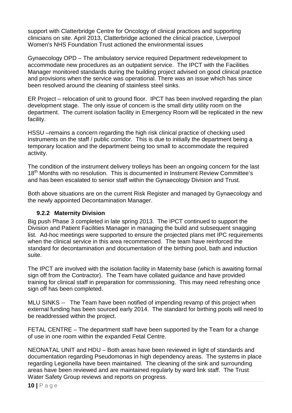support with Clatterbridge Centre for Oncology of clinical practices and supporting clinicians on site. April 2013, Clatterbridge actioned the clinical practice, Liverpool Women's NHS Foundation Trust actioned the environmental issues

Gynaecology OPD – The ambulatory service required Department redevelopment to accommodate new procedures as an outpatient service. The IPCT with the Facilities Manager monitored standards during the building project advised on good clinical practice and provisions when the service was operational. There was an issue which has since been resolved around the cleaning of stainless steel sinks.

ER Project – relocation of unit to ground floor. IPCT has been involved regarding the plan development stage. The only issue of concern is the small dirty utility room on the department. The current isolation facility in Emergency Room will be replicated in the new facility.

HSSU –remains a concern regarding the high risk clinical practice of checking used instruments on the staff / public corridor. This is due to initially the department being a temporary location and the department being too small to accommodate the required activity.

The condition of the instrument delivery trolleys has been an ongoing concern for the last 18<sup>th</sup> Months with no resolution. This is documented in Instrument Review Committee's and has been escalated to senior staff within the Gynaecology Division and Trust.

Both above situations are on the current Risk Register and managed by Gynaecology and the newly appointed Decontamination Manager.

# <span id="page-13-0"></span>**9.2.2 Maternity Division**

Big push Phase 3 completed in late spring 2013. The IPCT continued to support the Division and Patient Facilities Manager in managing the build and subsequent snagging list. Ad-hoc meetings were supported to ensure the projected plans met IPC requirements when the clinical service in this area recommenced. The team have reinforced the standard for decontamination and documentation of the birthing pool, bath and induction suite.

The IPCT are involved with the isolation facility in Maternity base (which is awaiting formal sign off from the Contractor). The Team have collated guidance and have provided training for clinical staff in preparation for commissioning. This may need refreshing once sign off has been completed.

MLU SINKS -- The Team have been notified of impending revamp of this project when external funding has been sourced early 2014. The standard for birthing pools will need to be readdressed within the project.

FETAL CENTRE – The department staff have been supported by the Team for a change of use in one room within the expanded Fetal Centre.

NEONATAL UNIT and HDU – Both areas have been reviewed in light of standards and documentation regarding Pseudomonas in high dependency areas. The systems in place regarding Legionella have been maintained. The cleaning of the sink and surrounding areas have been reviewed and are maintained regularly by ward link staff. The Trust Water Safety Group reviews and reports on progress.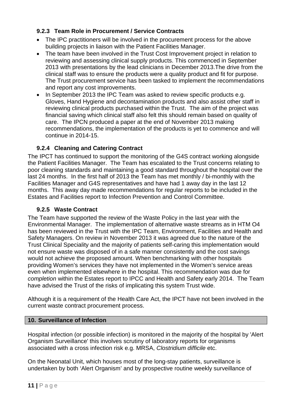# <span id="page-14-0"></span>**9.2.3 Team Role in Procurement / Service Contracts**

- The IPC practitioners will be involved in the procurement process for the above building projects in liaison with the Patient Facilities Manager.
- The team have been involved in the Trust Cost Improvement project in relation to reviewing and assessing clinical supply products. This commenced in September 2013 with presentations by the lead clinicians in December 2013.The drive from the clinical staff was to ensure the products were a quality product and fit for purpose. The Trust procurement service has been tasked to implement the recommendations and report any cost improvements.
- In September 2013 the IPC Team was asked to review specific products e.g. Gloves, Hand Hygiene and decontamination products and also assist other staff in reviewing clinical products purchased within the Trust. The aim of the project was financial saving which clinical staff also felt this should remain based on quality of care. The IPCN produced a paper at the end of November 2013 making recommendations, the implementation of the products is yet to commence and will continue in 2014-15.

# <span id="page-14-1"></span>**9.2.4 Cleaning and Catering Contract**

The IPCT has continued to support the monitoring of the G4S contract working alongside the Patient Facilities Manager. The Team has escalated to the Trust concerns relating to poor cleaning standards and maintaining a good standard throughout the hospital over the last 24 months. In the first half of 2013 the Team has met monthly / bi-monthly with the Facilities Manager and G4S representatives and have had 1 away day in the last 12 months. This away day made recommendations for regular reports to be included in the Estates and Facilities report to Infection Prevention and Control Committee.

# <span id="page-14-2"></span>**9.2.5 Waste Contract**

The Team have supported the review of the Waste Policy in the last year with the Environmental Manager. The implementation of alternative waste streams as in HTM O4 has been reviewed in the Trust with the IPC Team, Environment, Facilities and Health and Safety Managers. On review in November 2013 it was agreed due to the nature of the Trust Clinical Speciality and the majority of patients self-caring this implementation would not ensure waste was disposed of in a safe manner consistently and the cost savings would not achieve the proposed amount. When benchmarking with other hospitals providing Women's services they have not implemented in the Women's service areas even when implemented elsewhere in the hospital. This recommendation was due for *completion* within the Estates report to IPCC and Health and Safety early 2014. The Team have advised the Trust of the risks of implicating this system Trust wide.

Although it is a requirement of the Health Care Act, the IPCT have not been involved in the current waste contract procurement process.

# <span id="page-14-3"></span>**10. Surveillance of Infection**

Hospital infection (or possible infection) is monitored in the majority of the hospital by 'Alert Organism Surveillance' this involves scrutiny of laboratory reports for organisms associated with a cross infection risk e.g. MRSA, *Clostridium difficile* etc.

On the Neonatal Unit, which houses most of the long-stay patients, surveillance is undertaken by both 'Alert Organism' and by prospective routine weekly surveillance of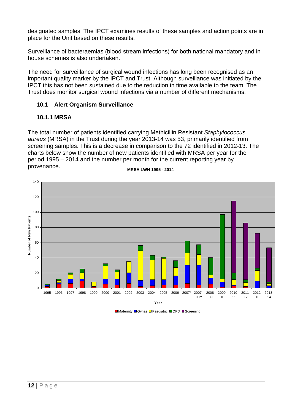designated samples. The IPCT examines results of these samples and action points are in place for the Unit based on these results.

Surveillance of bacteraemias (blood stream infections) for both national mandatory and in house schemes is also undertaken.

The need for surveillance of surgical wound infections has long been recognised as an important quality marker by the IPCT and Trust. Although surveillance was initiated by the IPCT this has not been sustained due to the reduction in time available to the team. The Trust does monitor surgical wound infections via a number of different mechanisms.

# <span id="page-15-0"></span>**10.1 Alert Organism Surveillance**

# <span id="page-15-1"></span>**10.1.1 MRSA**

The total number of patients identified carrying Methicillin Resistant *Staphylococcus aureus* (MRSA) in the Trust during the year 2013-14 was 53, primarily identified from screening samples. This is a decrease in comparison to the 72 identified in 2012-13. The charts below show the number of new patients identified with MRSA per year for the period 1995 – 2014 and the number per month for the current reporting year by provenance.



**MRSA LWH 1995 - 2014**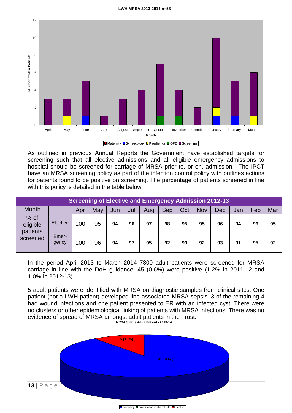#### **LWH MRSA 2013-2014 n=53**



Maternity **C**ynaecology **D** Paediatrics OPD Screening

As outlined in previous Annual Reports the Government have established targets for screening such that all elective admissions and all eligible emergency admissions to hospital should be screened for carriage of MRSA prior to, or on, admission. The IPCT have an MRSA screening policy as part of the infection control policy with outlines actions for patients found to be positive on screening. The percentage of patients screened in line with this policy is detailed in the table below.

| <b>Screening of Elective and Emergency Admission 2012-13</b> |                |     |     |     |     |     |     |     |            |     |     |     |     |
|--------------------------------------------------------------|----------------|-----|-----|-----|-----|-----|-----|-----|------------|-----|-----|-----|-----|
| <b>Month</b>                                                 |                | Apr | May | Jun | Jul | Aug | Sep | Oct | <b>Nov</b> | Dec | Jan | Feb | Mar |
| $%$ of<br>eligible<br>patients                               | Elective       | 100 | 95  | 94  | 96  | 97  | 98  | 95  | 95         | 96  | 94  | 96  | 95  |
| screened                                                     | Emer-<br>gency | 100 | 96  | 94  | 97  | 95  | 92  | 93  | 92         | 93  | 91  | 95  | 92  |

In the period April 2013 to March 2014 7300 adult patients were screened for MRSA carriage in line with the DoH guidance. 45 (0.6%) were positive (1.2% in 2011-12 and 1.0% in 2012-13).

**MRSA Status Adult Patients 2013-14** 5 adult patients were identified with MRSA on diagnostic samples from clinical sites. One patient (not a LWH patient) developed line associated MRSA sepsis. 3 of the remaining 4 had wound infections and one patient presented to ER with an infected cyst. There were no clusters or other epidemiological linking of patients with MRSA infections. There was no evidence of spread of MRSA amongst adult patients in the Trust.



Screening Colonisation of clinical Site Infection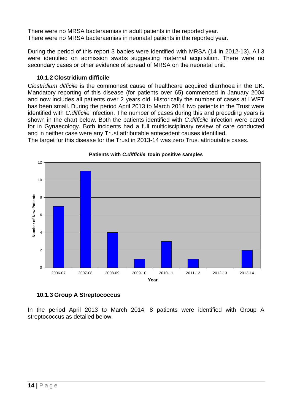There were no MRSA bacteraemias in adult patients in the reported year. There were no MRSA bacteraemias in neonatal patients in the reported year.

During the period of this report 3 babies were identified with MRSA (14 in 2012-13). All 3 were identified on admission swabs suggesting maternal acquisition. There were no secondary cases or other evidence of spread of MRSA on the neonatal unit.

# <span id="page-17-0"></span>**10.1.2 Clostridium difficile**

C*lostridium difficile* is the commonest cause of healthcare acquired diarrhoea in the UK. Mandatory reporting of this disease (for patients over 65) commenced in January 2004 and now includes all patients over 2 years old. Historically the number of cases at LWFT has been small. During the period April 2013 to March 2014 two patients in the Trust were identified with *C.difficile* infection. The number of cases during this and preceding years is shown in the chart below. Both the patients identified with *C.difficile* infection were cared for in Gynaecology. Both incidents had a full multidisciplinary review of care conducted and in neither case were any Trust attributable antecedent causes identified. The target for this disease for the Trust in 2013-14 was zero Trust attributable cases.



#### **Patients with** *C.difficile* **toxin positive samples**

# <span id="page-17-1"></span>**10.1.3 Group A Streptococcus**

In the period April 2013 to March 2014, 8 patients were identified with Group A streptococcus as detailed below.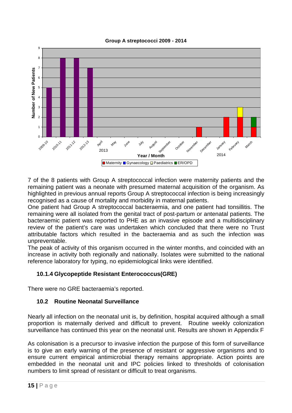



7 of the 8 patients with Group A streptococcal infection were maternity patients and the remaining patient was a neonate with presumed maternal acquisition of the organism. As highlighted in previous annual reports Group A streptococcal infection is being increasingly recognised as a cause of mortality and morbidity in maternal patients.

One patient had Group A streptococcal bacteraemia, and one patient had tonsillitis. The remaining were all isolated from the genital tract of post-partum or antenatal patients. The bacteraemic patient was reported to PHE as an invasive episode and a multidisciplinary review of the patient's care was undertaken which concluded that there were no Trust attributable factors which resulted in the bacteraemia and as such the infection was unpreventable.

The peak of activity of this organism occurred in the winter months, and coincided with an increase in activity both regionally and nationally. Isolates were submitted to the national reference laboratory for typing, no epidemiological links were identified.

# <span id="page-18-0"></span>**10.1.4 Glycopeptide Resistant Enterococcus(GRE)**

There were no GRE bacteraemia's reported.

# <span id="page-18-1"></span>**10.2 Routine Neonatal Surveillance**

Nearly all infection on the neonatal unit is, by definition, hospital acquired although a small proportion is maternally derived and difficult to prevent. Routine weekly colonization surveillance has continued this year on the neonatal unit. Results are shown in Appendix F

As colonisation is a precursor to invasive infection the purpose of this form of surveillance is to give an early warning of the presence of resistant or aggressive organisms and to ensure current empirical antimicrobial therapy remains appropriate. Action points are embedded in the neonatal unit and IPC policies linked to thresholds of colonisation numbers to limit spread of resistant or difficult to treat organisms.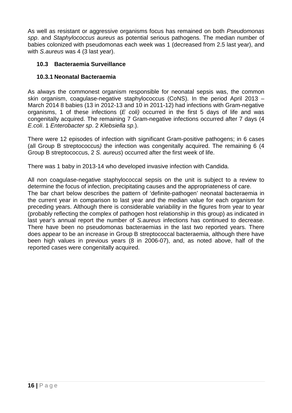As well as resistant or aggressive organisms focus has remained on both *Pseudomonas spp*. and *Staphylococcus aureus* as potential serious pathogens. The median number of babies colonized with pseudomonas each week was 1 (decreased from 2.5 last year), and with *S.aureus* was 4 (3 last year).

# <span id="page-19-0"></span>**10.3 Bacteraemia Surveillance**

# <span id="page-19-1"></span>**10.3.1 Neonatal Bacteraemia**

As always the commonest organism responsible for neonatal sepsis was, the common skin organism, coagulase-negative staphylococcus (CoNS). In the period April 2013 – March 2014 8 babies (13 in 2012-13 and 10 in 2011-12) had infections with Gram-negative organisms, 1 of these infections (*E coli)* occurred in the first 5 days of life and was congenitally acquired. The remaining 7 Gram-negative infections occurred after 7 days (4 *E.coli*. 1 *Enterobacter sp*. 2 *Klebsiella sp*.).

There were 12 episodes of infection with significant Gram-positive pathogens; in 6 cases (all Group B streptococcus*)* the infection was congenitally acquired. The remaining 6 (4 Group B streptococcus, 2 *S. aureus*) occurred after the first week of life.

There was 1 baby in 2013-14 who developed invasive infection with Candida.

All non coagulase-negative staphylococcal sepsis on the unit is subject to a review to determine the focus of infection, precipitating causes and the appropriateness of care. The bar chart below describes the pattern of 'definite-pathogen' neonatal bacteraemia in the current year in comparison to last year and the median value for each organism for preceding years. Although there is considerable variability in the figures from year to year (probably reflecting the complex of pathogen host relationship in this group) as indicated in last year's annual report the number of *S.aureus* infections has continued to decrease. There have been no pseudomonas bacteraemias in the last two reported years. There does appear to be an increase in Group B streptococcal bacteraemia, although there have been high values in previous years (8 in 2006-07), and, as noted above, half of the reported cases were congenitally acquired.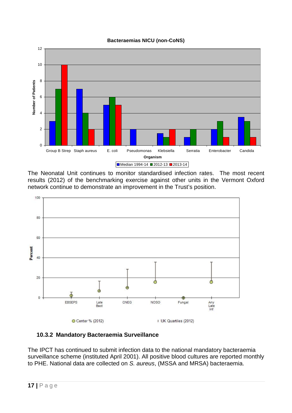



The Neonatal Unit continues to monitor standardised infection rates. The most recent results (2012) of the benchmarking exercise against other units in the Vermont Oxford network continue to demonstrate an improvement in the Trust's position.



<span id="page-20-0"></span>

The IPCT has continued to submit infection data to the national mandatory bacteraemia surveillance scheme (instituted April 2001). All positive blood cultures are reported monthly to PHE. National data are collected on *S. aureus*, (MSSA and MRSA) bacteraemia.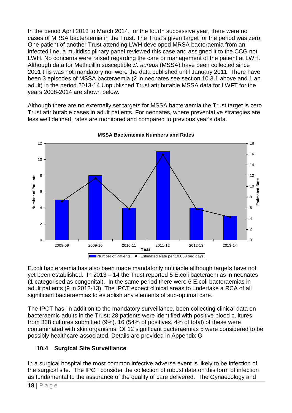In the period April 2013 to March 2014, for the fourth successive year, there were no cases of MRSA bacteraemia in the Trust. The Trust's given target for the period was zero. One patient of another Trust attending LWH developed MRSA bacteraemia from an infected line, a multidisciplinary panel reviewed this case and assigned it to the CCG not LWH. No concerns were raised regarding the care or management of the patient at LWH. Although data for Methicillin susceptible *S. aureus* (MSSA) have been collected since 2001 this was not mandatory nor were the data published until January 2011. There have been 3 episodes of MSSA bacteraemia (2 in neonates see section 10.3.1 above and 1 an adult) in the period 2013-14 Unpublished Trust attributable MSSA data for LWFT for the years 2008-2014 are shown below.

Although there are no externally set targets for MSSA bacteraemia the Trust target is zero Trust attributable cases in adult patients. For neonates, where preventative strategies are less well defined, rates are monitored and compared to previous year's data.



**MSSA Bacteraemia Numbers and Rates**

E.coli bacteraemia has also been made mandatorily notifiable although targets have not yet been established. In 2013 – 14 the Trust reported 5 E.coli bacteraemias in neonates (1 categorised as congenital). In the same period there were 6 E.coli bacteraemias in adult patients (9 in 2012-13). The IPCT expect clinical areas to undertake a RCA of all significant bacteraemias to establish any elements of sub-optimal care.

The IPCT has, in addition to the mandatory surveillance, been collecting clinical data on bacteraemic adults in the Trust; 28 patients were identified with positive blood cultures from 338 cultures submitted (9%). 16 (54% of positives, 4% of total) of these were contaminated with skin organisms. Of 12 significant bacteraemias 5 were considered to be possibly healthcare associated. Details are provided in Appendix G

# <span id="page-21-0"></span>**10.4 Surgical Site Surveillance**

In a surgical hospital the most common infective adverse event is likely to be infection of the surgical site. The IPCT consider the collection of robust data on this form of infection as fundamental to the assurance of the quality of care delivered. The Gynaecology and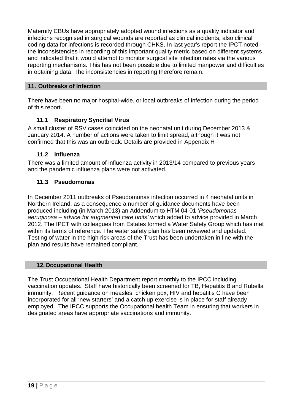Maternity CBUs have appropriately adopted wound infections as a quality indicator and infections recognised in surgical wounds are reported as clinical incidents, also clinical coding data for infections is recorded through CHKS. In last year's report the IPCT noted the inconsistencies in recording of this important quality metric based on different systems and indicated that it would attempt to monitor surgical site infection rates via the various reporting mechanisms. This has not been possible due to limited manpower and difficulties in obtaining data. The inconsistencies in reporting therefore remain.

# <span id="page-22-0"></span>**11. Outbreaks of Infection**

There have been no major hospital-wide, or local outbreaks of infection during the period of this report.

# <span id="page-22-1"></span>**11.1 Respiratory Syncitial Virus**

A small cluster of RSV cases coincided on the neonatal unit during December 2013 & January 2014. A number of actions were taken to limit spread, although it was not confirmed that this was an outbreak. Details are provided in Appendix H

# <span id="page-22-2"></span>**11.2 Influenza**

There was a limited amount of influenza activity in 2013/14 compared to previous years and the pandemic influenza plans were not activated.

# <span id="page-22-3"></span>**11.3 Pseudomonas**

In December 2011 outbreaks of Pseudomonas infection occurred in 4 neonatal units in Northern Ireland, as a consequence a number of guidance documents have been produced including (in March 2013) an Addendum to HTM 04-01 '*Pseudomonas aeruginosa – advice for augmented care units'* which added to advice provided in March 2012. The IPCT with colleagues from Estates formed a Water Safety Group which has met within its terms of reference. The water safety plan has been reviewed and updated. Testing of water in the high risk areas of the Trust has been undertaken in line with the plan and results have remained compliant.

# <span id="page-22-4"></span>**12.Occupational Health**

The Trust Occupational Health Department report monthly to the IPCC including vaccination updates. Staff have historically been screened for TB, Hepatitis B and Rubella immunity. Recent guidance on measles, chicken pox, HIV and hepatitis C have been incorporated for all 'new starters' and a catch up exercise is in place for staff already employed. The IPCC supports the Occupational health Team in ensuring that workers in designated areas have appropriate vaccinations and immunity.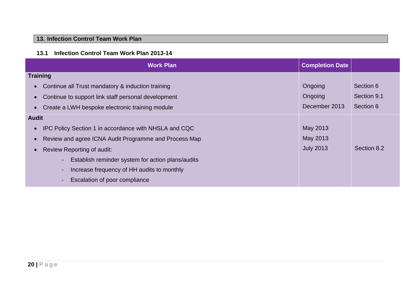# **13. Infection Control Team Work Plan**

# **13.1 Infection Control Team Work Plan 2013-14**

<span id="page-23-1"></span><span id="page-23-0"></span>

| <b>Work Plan</b>                                                    | <b>Completion Date</b> |             |
|---------------------------------------------------------------------|------------------------|-------------|
| <b>Training</b>                                                     |                        |             |
| Continue all Trust mandatory & induction training                   | Ongoing                | Section 6   |
| Continue to support link staff personal development                 | Ongoing                | Section 9.1 |
| Create a LWH bespoke electronic training module                     | December 2013          | Section 6   |
| <b>Audit</b>                                                        |                        |             |
| IPC Policy Section 1 in accordance with NHSLA and CQC               | May 2013               |             |
| Review and agree ICNA Audit Programme and Process Map               | May 2013               |             |
| Review Reporting of audit:                                          | <b>July 2013</b>       | Section 8.2 |
| Establish reminder system for action plans/audits<br>$\blacksquare$ |                        |             |
| Increase frequency of HH audits to monthly<br>$\blacksquare$        |                        |             |
| Escalation of poor compliance<br>$\blacksquare$                     |                        |             |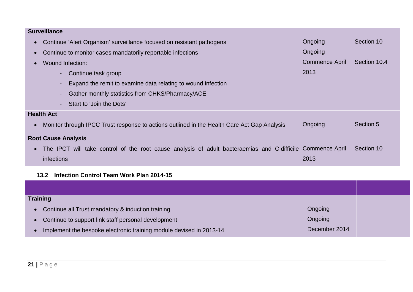| <b>Surveillance</b>                                                                                                     |                       |              |
|-------------------------------------------------------------------------------------------------------------------------|-----------------------|--------------|
| Continue 'Alert Organism' surveillance focused on resistant pathogens<br>$\bullet$                                      | Ongoing               | Section 10   |
| Continue to monitor cases mandatorily reportable infections<br>$\bullet$                                                | Ongoing               |              |
| Wound Infection:<br>$\bullet$                                                                                           | <b>Commence April</b> | Section 10.4 |
| Continue task group                                                                                                     | 2013                  |              |
| Expand the remit to examine data relating to wound infection                                                            |                       |              |
| Gather monthly statistics from CHKS/Pharmacy/ACE                                                                        |                       |              |
| Start to 'Join the Dots'                                                                                                |                       |              |
| <b>Health Act</b>                                                                                                       |                       |              |
| Monitor through IPCC Trust response to actions outlined in the Health Care Act Gap Analysis<br>$\bullet$                | Ongoing               | Section 5    |
| <b>Root Cause Analysis</b>                                                                                              |                       |              |
| The IPCT will take control of the root cause analysis of adult bacteraemias and C.difficile Commence April<br>$\bullet$ |                       | Section 10   |
| infections                                                                                                              | 2013                  |              |

# **13.2 Infection Control Team Work Plan 2014-15**

<span id="page-24-0"></span>

| <b>Training</b>                                                     |               |  |
|---------------------------------------------------------------------|---------------|--|
| • Continue all Trust mandatory & induction training                 | Ongoing       |  |
| • Continue to support link staff personal development               | Ongoing       |  |
| Implement the bespoke electronic training module devised in 2013-14 | December 2014 |  |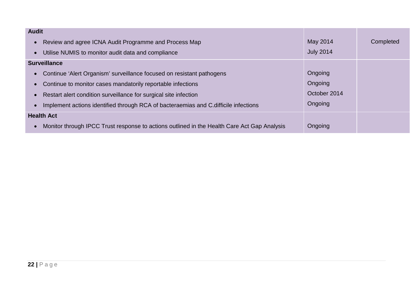| <b>Audit</b>                                                                                             |                  |           |
|----------------------------------------------------------------------------------------------------------|------------------|-----------|
| Review and agree ICNA Audit Programme and Process Map<br>$\bullet$                                       | May 2014         | Completed |
| Utilise NUMIS to monitor audit data and compliance<br>$\bullet$                                          | <b>July 2014</b> |           |
| <b>Surveillance</b>                                                                                      |                  |           |
| Continue 'Alert Organism' surveillance focused on resistant pathogens<br>$\bullet$                       | Ongoing          |           |
| Continue to monitor cases mandatorily reportable infections<br>$\bullet$                                 | Ongoing          |           |
| Restart alert condition surveillance for surgical site infection<br>$\bullet$                            | October 2014     |           |
| Implement actions identified through RCA of bacteraemias and C.difficile infections<br>$\bullet$         | Ongoing          |           |
| <b>Health Act</b>                                                                                        |                  |           |
| Monitor through IPCC Trust response to actions outlined in the Health Care Act Gap Analysis<br>$\bullet$ | Ongoing          |           |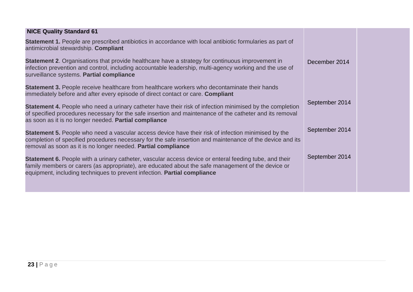| <b>NICE Quality Standard 61</b>                                                                                                                                                                                                                                                          |                |  |
|------------------------------------------------------------------------------------------------------------------------------------------------------------------------------------------------------------------------------------------------------------------------------------------|----------------|--|
| <b>Statement 1.</b> People are prescribed antibiotics in accordance with local antibiotic formularies as part of<br>antimicrobial stewardship. Compliant                                                                                                                                 |                |  |
| <b>Statement 2.</b> Organisations that provide healthcare have a strategy for continuous improvement in<br>infection prevention and control, including accountable leadership, multi-agency working and the use of<br>surveillance systems. Partial compliance                           | December 2014  |  |
| <b>Statement 3.</b> People receive healthcare from healthcare workers who decontaminate their hands<br>immediately before and after every episode of direct contact or care. Compliant                                                                                                   |                |  |
| Statement 4. People who need a urinary catheter have their risk of infection minimised by the completion<br>of specified procedures necessary for the safe insertion and maintenance of the catheter and its removal<br>as soon as it is no longer needed. Partial compliance            | September 2014 |  |
| <b>Statement 5.</b> People who need a vascular access device have their risk of infection minimised by the<br>completion of specified procedures necessary for the safe insertion and maintenance of the device and its<br>removal as soon as it is no longer needed. Partial compliance | September 2014 |  |
| Statement 6. People with a urinary catheter, vascular access device or enteral feeding tube, and their<br>family members or carers (as appropriate), are educated about the safe management of the device or<br>equipment, including techniques to prevent infection. Partial compliance | September 2014 |  |
|                                                                                                                                                                                                                                                                                          |                |  |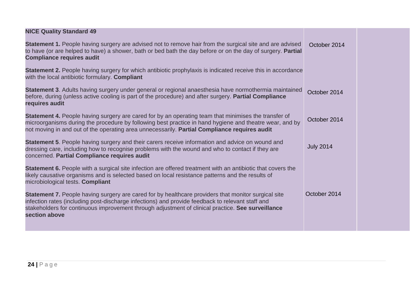| <b>NICE Quality Standard 49</b>                                                                                                                                                                                                                                                                                               |                  |  |
|-------------------------------------------------------------------------------------------------------------------------------------------------------------------------------------------------------------------------------------------------------------------------------------------------------------------------------|------------------|--|
| Statement 1. People having surgery are advised not to remove hair from the surgical site and are advised<br>to have (or are helped to have) a shower, bath or bed bath the day before or on the day of surgery. Partial<br><b>Compliance requires audit</b>                                                                   | October 2014     |  |
| <b>Statement 2.</b> People having surgery for which antibiotic prophylaxis is indicated receive this in accordance<br>with the local antibiotic formulary. Compliant                                                                                                                                                          |                  |  |
| Statement 3. Adults having surgery under general or regional anaesthesia have normothermia maintained<br>before, during (unless active cooling is part of the procedure) and after surgery. Partial Compliance<br>requires audit                                                                                              | October 2014     |  |
| Statement 4. People having surgery are cared for by an operating team that minimises the transfer of<br>microorganisms during the procedure by following best practice in hand hygiene and theatre wear, and by<br>not moving in and out of the operating area unnecessarily. Partial Compliance requires audit               | October 2014     |  |
| Statement 5. People having surgery and their carers receive information and advice on wound and<br>dressing care, including how to recognise problems with the wound and who to contact if they are<br>concerned. Partial Compliance requires audit                                                                           | <b>July 2014</b> |  |
| Statement 6. People with a surgical site infection are offered treatment with an antibiotic that covers the<br>likely causative organisms and is selected based on local resistance patterns and the results of<br>microbiological tests. Compliant                                                                           |                  |  |
| Statement 7. People having surgery are cared for by healthcare providers that monitor surgical site<br>infection rates (including post-discharge infections) and provide feedback to relevant staff and<br>stakeholders for continuous improvement through adjustment of clinical practice. See surveillance<br>section above | October 2014     |  |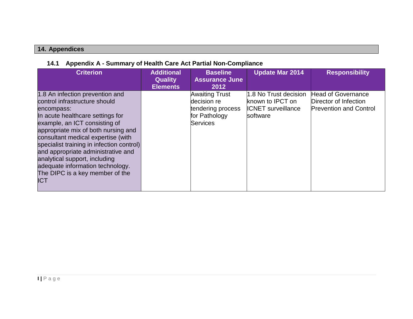# **14. Appendices**

# **14.1 Appendix A - Summary of Health Care Act Partial Non-Compliance**

<span id="page-28-1"></span><span id="page-28-0"></span>

| <b>Criterion</b>                                                                                                                                                                                                                                                                                                                                                                                                                   | <b>Additional</b><br><b>Quality</b><br><b>Elements</b> | <b>Baseline</b><br><b>Assurance June</b><br>2012                                              | <b>Update Mar 2014</b>                                                             | <b>Responsibility</b>                                                               |
|------------------------------------------------------------------------------------------------------------------------------------------------------------------------------------------------------------------------------------------------------------------------------------------------------------------------------------------------------------------------------------------------------------------------------------|--------------------------------------------------------|-----------------------------------------------------------------------------------------------|------------------------------------------------------------------------------------|-------------------------------------------------------------------------------------|
| 1.8 An infection prevention and<br>control infrastructure should<br>encompass:<br>In acute healthcare settings for<br>example, an ICT consisting of<br>appropriate mix of both nursing and<br>consultant medical expertise (with<br>specialist training in infection control)<br>and appropriate administrative and<br>analytical support, including<br>adequate information technology.<br>The DIPC is a key member of the<br>ICT |                                                        | <b>Awaiting Trust</b><br>decision re<br>tendering process<br>for Pathology<br><b>Services</b> | 1.8 No Trust decision<br>known to IPCT on<br><b>ICNET</b> surveillance<br>software | <b>Head of Governance</b><br>Director of Infection<br><b>Prevention and Control</b> |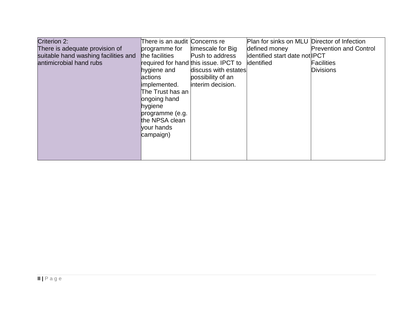| Criterion 2:                         | There is an audit Concerns re |                                       | Plan for sinks on MLU Director of Infection |                               |
|--------------------------------------|-------------------------------|---------------------------------------|---------------------------------------------|-------------------------------|
| There is adequate provision of       | programme for                 | timescale for Big                     | defined money                               | <b>Prevention and Control</b> |
| suitable hand washing facilities and | the facilities                | Push to address                       | identified start date not <b>IPCT</b>       |                               |
| antimicrobial hand rubs              |                               | required for hand this issue. IPCT to | lidentified                                 | <b>Facilities</b>             |
|                                      | hygiene and                   | discuss with estates                  |                                             | <b>Divisions</b>              |
|                                      | actions                       | possibility of an                     |                                             |                               |
|                                      | implemented.                  | interim decision.                     |                                             |                               |
|                                      | The Trust has an              |                                       |                                             |                               |
|                                      | ongoing hand                  |                                       |                                             |                               |
|                                      | hygiene                       |                                       |                                             |                               |
|                                      | programme (e.g.               |                                       |                                             |                               |
|                                      | the NPSA clean                |                                       |                                             |                               |
|                                      | vour hands                    |                                       |                                             |                               |
|                                      | campaign)                     |                                       |                                             |                               |
|                                      |                               |                                       |                                             |                               |
|                                      |                               |                                       |                                             |                               |
|                                      |                               |                                       |                                             |                               |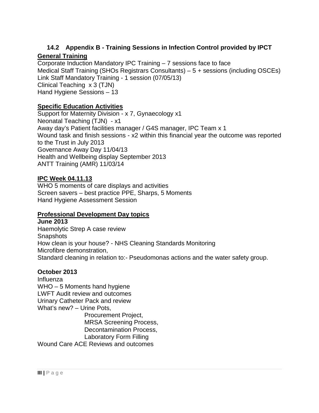# **14.2 Appendix B - Training Sessions in Infection Control provided by IPCT**

# **General Training**

<span id="page-30-0"></span>Corporate Induction Mandatory IPC Training – 7 sessions face to face Medical Staff Training (SHOs Registrars Consultants) – 5 + sessions (including OSCEs) Link Staff Mandatory Training - 1 session (07/05/13) Clinical Teaching x 3 (TJN) Hand Hygiene Sessions – 13

# **Specific Education Activities**

Support for Maternity Division - x 7, Gynaecology x1 Neonatal Teaching (TJN) - x1 Away day's Patient facilities manager / G4S manager, IPC Team x 1 Wound task and finish sessions - x2 within this financial year the outcome was reported to the Trust in July 2013 Governance Away Day 11/04/13 Health and Wellbeing display September 2013 ANTT Training (AMR) 11/03/14

#### **IPC Week 04.11.13**

WHO 5 moments of care displays and activities Screen savers – best practice PPE, Sharps, 5 Moments Hand Hygiene Assessment Session

# **Professional Development Day topics**

**June 2013** Haemolytic Strep A case review **Snapshots** How clean is your house? - NHS Cleaning Standards Monitoring Microfibre demonstration, Standard cleaning in relation to:- Pseudomonas actions and the water safety group.

# **October 2013**

Influenza WHO – 5 Moments hand hygiene LWFT Audit review and outcomes Urinary Catheter Pack and review What's new? – Urine Pots, Procurement Project, MRSA Screening Process, Decontamination Process, Laboratory Form Filling

Wound Care ACE Reviews and outcomes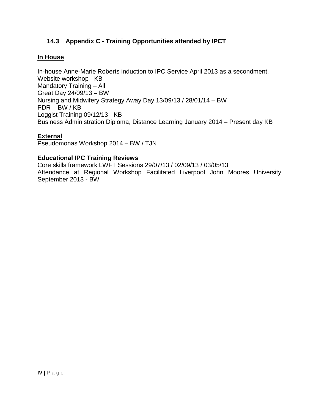# **14.3 Appendix C - Training Opportunities attended by IPCT**

#### <span id="page-31-0"></span>**In House**

In-house Anne-Marie Roberts induction to IPC Service April 2013 as a secondment. Website workshop - KB Mandatory Training – All Great Day 24/09/13 – BW Nursing and Midwifery Strategy Away Day 13/09/13 / 28/01/14 – BW PDR – BW / KB Loggist Training 09/12/13 - KB Business Administration Diploma, Distance Learning January 2014 – Present day KB

#### **External**

Pseudomonas Workshop 2014 – BW / TJN

#### **Educational IPC Training Reviews**

Core skills framework LWFT Sessions 29/07/13 / 02/09/13 / 03/05/13 Attendance at Regional Workshop Facilitated Liverpool John Moores University September 2013 - BW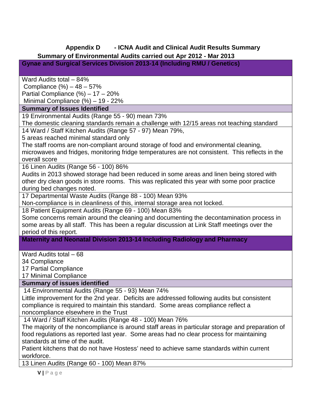# <span id="page-32-0"></span>**Appendix D - ICNA Audit and Clinical Audit Results Summary Summary of Environmental Audits carried out Apr 2012 - Mar 2013**

**Gynae and Surgical Services Division 2013-14 (Including RMU / Genetics)**

Ward Audits total – 84%

Compliance (%) – 48 – 57%

Partial Compliance (%) – 17 – 20%

Minimal Compliance (%) – 19 - 22%

# **Summary of Issues Identified**

19 Environmental Audits (Range 55 - 90) mean 73%

The domestic cleaning standards remain a challenge with 12/15 areas not teaching standard

14 Ward / Staff Kitchen Audits (Range 57 - 97) Mean 79%,

5 areas reached minimal standard only

The staff rooms are non-compliant around storage of food and environmental cleaning, microwaves and fridges, monitoring fridge temperatures are not consistent. This reflects in the overall score

16 Linen Audits (Range 56 - 100) 86%

Audits in 2013 showed storage had been reduced in some areas and linen being stored with other dry clean goods in store rooms. This was replicated this year with some poor practice during bed changes noted.

17 Departmental Waste Audits (Range 88 - 100) Mean 93%

Non-compliance is in cleanliness of this, internal storage area not locked.

18 Patient Equipment Audits (Range 69 - 100) Mean 83%

Some concerns remain around the cleaning and documenting the decontamination process in some areas by all staff. This has been a regular discussion at Link Staff meetings over the period of this report.

**Maternity and Neonatal Division 2013-14 Including Radiology and Pharmacy**

Ward Audits total – 68

34 Compliance

17 Partial Compliance

17 Minimal Compliance

# **Summary of issues identified**

14 Environmental Audits (Range 55 - 93) Mean 74%

Little improvement for the 2nd year. Deficits are addressed following audits but consistent compliance is required to maintain this standard. Some areas compliance reflect a noncompliance elsewhere in the Trust

14 Ward / Staff Kitchen Audits (Range 48 - 100) Mean 76%

The majority of the noncompliance is around staff areas in particular storage and preparation of food regulations as reported last year. Some areas had no clear process for maintaining standards at time of the audit.

Patient kitchens that do not have Hostess' need to achieve same standards within current workforce.

13 Linen Audits (Range 60 - 100) Mean 87%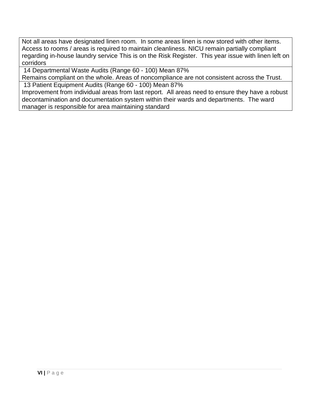Not all areas have designated linen room. In some areas linen is now stored with other items. Access to rooms / areas is required to maintain cleanliness. NICU remain partially compliant regarding in-house laundry service This is on the Risk Register. This year issue with linen left on corridors

14 Departmental Waste Audits (Range 60 - 100) Mean 87%

Remains compliant on the whole. Areas of noncompliance are not consistent across the Trust. 13 Patient Equipment Audits (Range 60 - 100) Mean 87%

Improvement from individual areas from last report. All areas need to ensure they have a robust decontamination and documentation system within their wards and departments. The ward manager is responsible for area maintaining standard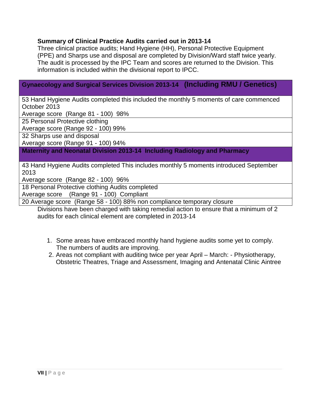#### **Summary of Clinical Practice Audits carried out in 2013-14**

Three clinical practice audits; Hand Hygiene (HH), Personal Protective Equipment (PPE) and Sharps use and disposal are completed by Division/Ward staff twice yearly. The audit is processed by the IPC Team and scores are returned to the Division. This information is included within the divisional report to IPCC.

# **Gynaecology and Surgical Services Division 2013-14 (Including RMU / Genetics)**

53 Hand Hygiene Audits completed this included the monthly 5 moments of care commenced October 2013

Average score (Range 81 - 100) 98%

25 Personal Protective clothing

Average score (Range 92 - 100) 99%

32 Sharps use and disposal

Average score (Range 91 - 100) 94%

**Maternity and Neonatal Division 2013-14 Including Radiology and Pharmacy**

43 Hand Hygiene Audits completed This includes monthly 5 moments introduced September 2013

Average score (Range 82 - 100) 96%

18 Personal Protective clothing Audits completed Average score (Range 91 - 100) Compliant

20 Average score (Range 58 - 100) 88% non compliance temporary closure

Divisions have been charged with taking remedial action to ensure that a minimum of 2 audits for each clinical element are completed in 2013-14

- 1. Some areas have embraced monthly hand hygiene audits some yet to comply. The numbers of audits are improving.
- 2. Areas not compliant with auditing twice per year April March: Physiotherapy, Obstetric Theatres, Triage and Assessment, Imaging and Antenatal Clinic Aintree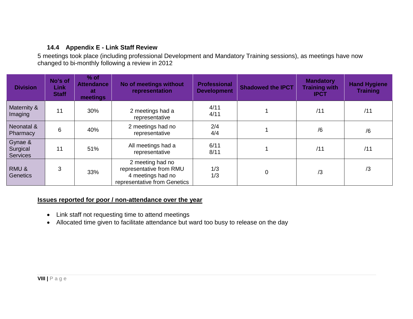# **14.4 Appendix E - Link Staff Review**

5 meetings took place (including professional Development and Mandatory Training sessions), as meetings have now changed to bi-monthly following a review in 2012

| <b>Division</b>                        | No's of<br><b>Link</b><br><b>Staff</b> | $%$ of<br><b>Attendance</b><br><b>at</b><br>meetings | No of meetings without<br>representation                                                         | <b>Professional</b><br><b>Development</b> | <b>Shadowed the IPCT</b> | <b>Mandatory</b><br><b>Training with</b><br><b>IPCT</b> | <b>Hand Hygiene</b><br><b>Training</b> |
|----------------------------------------|----------------------------------------|------------------------------------------------------|--------------------------------------------------------------------------------------------------|-------------------------------------------|--------------------------|---------------------------------------------------------|----------------------------------------|
| Maternity &<br>Imaging                 | 11                                     | 30%                                                  | 2 meetings had a<br>representative                                                               | 4/11<br>4/11                              |                          | /11                                                     | /11                                    |
| Neonatal &<br>Pharmacy                 | 6                                      | 40%                                                  | 2 meetings had no<br>representative                                                              | 2/4<br>4/4                                |                          | /6                                                      | /6                                     |
| Gynae &<br>Surgical<br><b>Services</b> | 11                                     | 51%                                                  | All meetings had a<br>representative                                                             | 6/11<br>8/11                              |                          | /11                                                     | /11                                    |
| RMU&<br><b>Genetics</b>                | 3                                      | 33%                                                  | 2 meeting had no<br>representative from RMU<br>4 meetings had no<br>representative from Genetics | 1/3<br>1/3                                | $\overline{0}$           | /3                                                      | /3                                     |

#### <span id="page-35-0"></span>**Issues reported for poor / non-attendance over the year**

- Link staff not requesting time to attend meetings
- Allocated time given to facilitate attendance but ward too busy to release on the day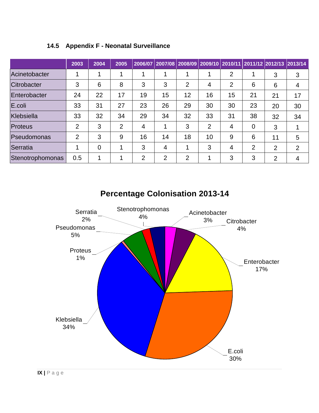|                  | 2003           | 2004           | 2005 |                | 2006/07 2007/08 2008/09 2009/10 2010/11 2011/12 2012/13 2013/14 |                |                |                |                |                |    |
|------------------|----------------|----------------|------|----------------|-----------------------------------------------------------------|----------------|----------------|----------------|----------------|----------------|----|
| Acinetobacter    |                |                |      |                |                                                                 |                |                | $\overline{2}$ |                | 3              | 3  |
| Citrobacter      | 3              | 6              | 8    | 3              | 3                                                               | 2              | $\overline{4}$ | 2              | 6              | 6              | 4  |
| Enterobacter     | 24             | 22             | 17   | 19             | 15                                                              | 12             | 16             | 15             | 21             | 21             | 17 |
| E.coli           | 33             | 31             | 27   | 23             | 26                                                              | 29             | 30             | 30             | 23             | 20             | 30 |
| Klebsiella       | 33             | 32             | 34   | 29             | 34                                                              | 32             | 33             | 31             | 38             | 32             | 34 |
| Proteus          | 2              | 3              | 2    | 4              |                                                                 | 3              | 2              | 4              | 0              | 3              |    |
| Pseudomonas      | $\overline{2}$ | 3              | 9    | 16             | 14                                                              | 18             | 10             | 9              | 6              | 11             | 5  |
| Serratia         |                | $\overline{0}$ |      | 3              | 4                                                               | 1              | 3              | $\overline{4}$ | $\overline{2}$ | $\overline{2}$ | 2  |
| Stenotrophomonas | 0.5            |                |      | $\overline{2}$ | $\overline{2}$                                                  | $\overline{2}$ | 1              | 3              | 3              | $\overline{2}$ | 4  |

# <span id="page-36-0"></span>**14.5 Appendix F - Neonatal Surveillance**



30%

**Percentage Colonisation 2013-14**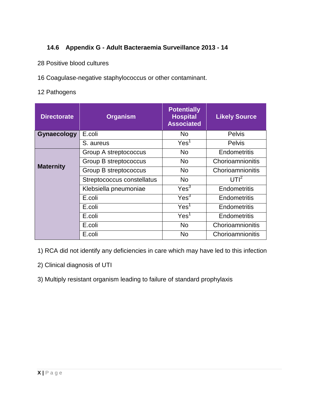# **14.6 Appendix G - Adult Bacteraemia Surveillance 2013 - 14**

- <span id="page-37-0"></span>28 Positive blood cultures
- 16 Coagulase-negative staphylococcus or other contaminant.
- 12 Pathogens

| <b>Directorate</b> | <b>Organism</b>            | <b>Potentially</b><br><b>Hospital</b><br><b>Associated</b> | <b>Likely Source</b> |  |
|--------------------|----------------------------|------------------------------------------------------------|----------------------|--|
| Gynaecology        | E.coli                     | N <sub>o</sub>                                             | <b>Pelvis</b>        |  |
|                    | S. aureus                  | Yes <sup>1</sup>                                           | <b>Pelvis</b>        |  |
|                    | Group A streptococcus      | <b>No</b>                                                  | Endometritis         |  |
|                    | Group B streptococcus      | <b>No</b>                                                  | Chorioamnionitis     |  |
| <b>Maternity</b>   | Group B streptococcus      | <b>No</b>                                                  | Chorioamnionitis     |  |
|                    | Streptococcus constellatus | <b>No</b>                                                  | UTI <sup>2</sup>     |  |
|                    | Klebsiella pneumoniae      | Yes <sup>3</sup>                                           | Endometritis         |  |
|                    | E.coli                     | Yes <sup>3</sup>                                           | Endometritis         |  |
|                    | E.coli                     | Yes <sup>1</sup>                                           | Endometritis         |  |
|                    | E.coli                     | Yes <sup>1</sup>                                           | Endometritis         |  |
|                    | E.coli                     | No                                                         | Chorioamnionitis     |  |
|                    | E.coli                     | <b>No</b>                                                  | Chorioamnionitis     |  |

1) RCA did not identify any deficiencies in care which may have led to this infection

- 2) Clinical diagnosis of UTI
- 3) Multiply resistant organism leading to failure of standard prophylaxis